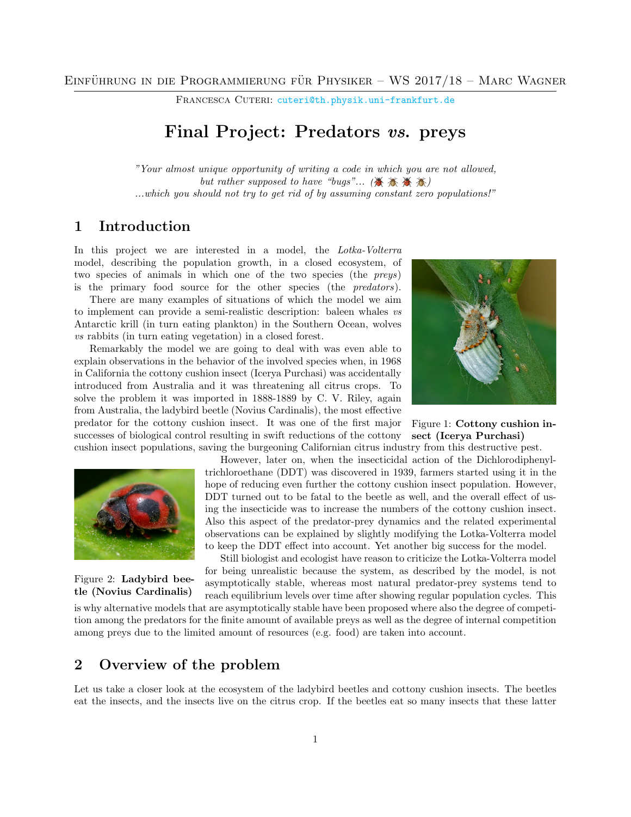FRANCESCA CUTERI: [cuteri@th.physik.uni-frankfurt.de](mailto:cuteri@th.physik.uni-frankfurt.de)

# Final Project: Predators vs. preys

"Your almost unique opportunity of writing a code in which you are not allowed, but rather supposed to have "bugs"... ( $\mathcal{F}$   $\mathcal{F}$   $\mathcal{F}$   $\mathcal{F}$ ) ...which you should not try to get rid of by assuming constant zero populations!"

### 1 Introduction

In this project we are interested in a model, the Lotka-Volterra model, describing the population growth, in a closed ecosystem, of two species of animals in which one of the two species (the preys) is the primary food source for the other species (the predators).

There are many examples of situations of which the model we aim to implement can provide a semi-realistic description: baleen whales vs Antarctic krill (in turn eating plankton) in the Southern Ocean, wolves vs rabbits (in turn eating vegetation) in a closed forest.

Remarkably the model we are going to deal with was even able to explain observations in the behavior of the involved species when, in 1968 in California the cottony cushion insect (Icerya Purchasi) was accidentally introduced from Australia and it was threatening all citrus crops. To solve the problem it was imported in 1888-1889 by C. V. Riley, again from Australia, the ladybird beetle (Novius Cardinalis), the most effective predator for the cottony cushion insect. It was one of the first major successes of biological control resulting in swift reductions of the cottony cushion insect populations, saving the burgeoning Californian citrus industry from this destructive pest.



Figure 1: Cottony cushion insect (Icerya Purchasi)



Figure 2: Ladybird beetle (Novius Cardinalis)

However, later on, when the insecticidal action of the Dichlorodiphenyltrichloroethane (DDT) was discovered in 1939, farmers started using it in the hope of reducing even further the cottony cushion insect population. However, DDT turned out to be fatal to the beetle as well, and the overall effect of using the insecticide was to increase the numbers of the cottony cushion insect. Also this aspect of the predator-prey dynamics and the related experimental observations can be explained by slightly modifying the Lotka-Volterra model to keep the DDT effect into account. Yet another big success for the model.

Still biologist and ecologist have reason to criticize the Lotka-Volterra model for being unrealistic because the system, as described by the model, is not asymptotically stable, whereas most natural predator-prey systems tend to reach equilibrium levels over time after showing regular population cycles. This

is why alternative models that are asymptotically stable have been proposed where also the degree of competition among the predators for the finite amount of available preys as well as the degree of internal competition among preys due to the limited amount of resources (e.g. food) are taken into account.

## 2 Overview of the problem

Let us take a closer look at the ecosystem of the ladybird beetles and cottony cushion insects. The beetles eat the insects, and the insects live on the citrus crop. If the beetles eat so many insects that these latter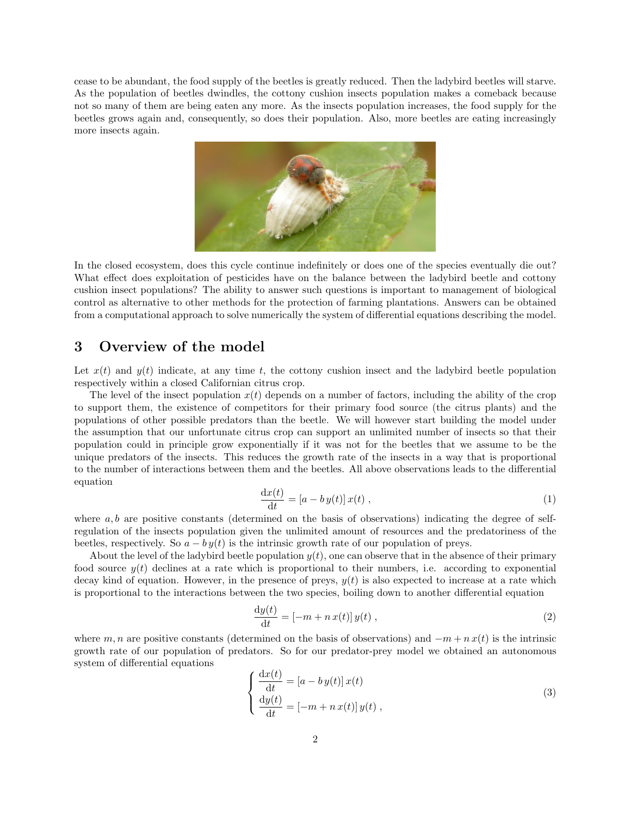cease to be abundant, the food supply of the beetles is greatly reduced. Then the ladybird beetles will starve. As the population of beetles dwindles, the cottony cushion insects population makes a comeback because not so many of them are being eaten any more. As the insects population increases, the food supply for the beetles grows again and, consequently, so does their population. Also, more beetles are eating increasingly more insects again.



In the closed ecosystem, does this cycle continue indefinitely or does one of the species eventually die out? What effect does exploitation of pesticides have on the balance between the ladybird beetle and cottony cushion insect populations? The ability to answer such questions is important to management of biological control as alternative to other methods for the protection of farming plantations. Answers can be obtained from a computational approach to solve numerically the system of differential equations describing the model.

## 3 Overview of the model

Let  $x(t)$  and  $y(t)$  indicate, at any time t, the cottony cushion insect and the ladybird beetle population respectively within a closed Californian citrus crop.

The level of the insect population  $x(t)$  depends on a number of factors, including the ability of the crop to support them, the existence of competitors for their primary food source (the citrus plants) and the populations of other possible predators than the beetle. We will however start building the model under the assumption that our unfortunate citrus crop can support an unlimited number of insects so that their population could in principle grow exponentially if it was not for the beetles that we assume to be the unique predators of the insects. This reduces the growth rate of the insects in a way that is proportional to the number of interactions between them and the beetles. All above observations leads to the differential equation

$$
\frac{\mathrm{d}x(t)}{\mathrm{d}t} = [a - b y(t)] x(t) , \qquad (1)
$$

where  $a, b$  are positive constants (determined on the basis of observations) indicating the degree of selfregulation of the insects population given the unlimited amount of resources and the predatoriness of the beetles, respectively. So  $a - by(t)$  is the intrinsic growth rate of our population of preys.

About the level of the ladybird beetle population  $y(t)$ , one can observe that in the absence of their primary food source  $y(t)$  declines at a rate which is proportional to their numbers, i.e. according to exponential decay kind of equation. However, in the presence of preys,  $y(t)$  is also expected to increase at a rate which is proportional to the interactions between the two species, boiling down to another differential equation

$$
\frac{\mathrm{d}y(t)}{\mathrm{d}t} = \left[-m + n\,x(t)\right]y(t) \,,\tag{2}
$$

where m, n are positive constants (determined on the basis of observations) and  $-m + n x(t)$  is the intrinsic growth rate of our population of predators. So for our predator-prey model we obtained an autonomous system of differential equations

<span id="page-1-0"></span>
$$
\begin{cases}\n\frac{\mathrm{d}x(t)}{\mathrm{d}t} = [a - by(t)] x(t) \\
\frac{\mathrm{d}y(t)}{\mathrm{d}t} = [-m + nx(t)] y(t)\n\end{cases}
$$
\n(3)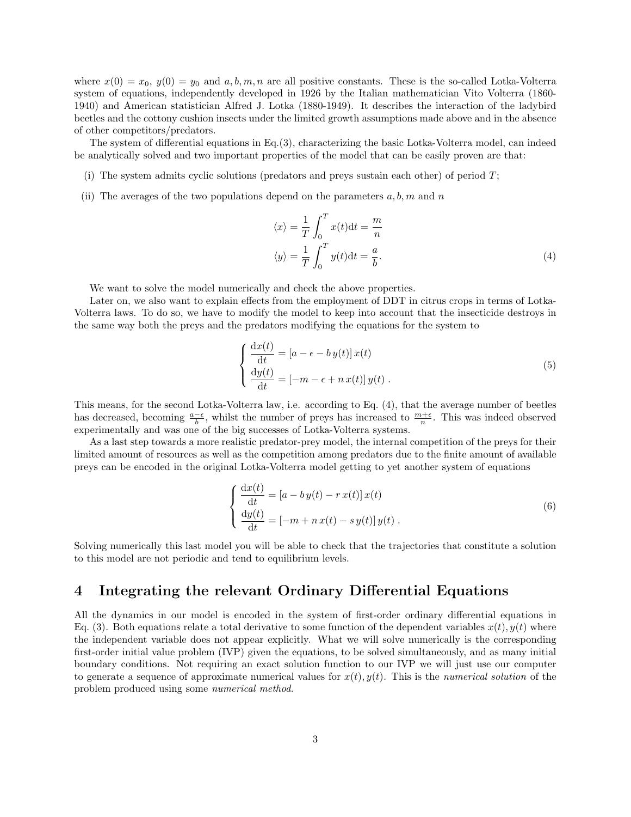where  $x(0) = x_0$ ,  $y(0) = y_0$  and  $a, b, m, n$  are all positive constants. These is the so-called Lotka-Volterra system of equations, independently developed in 1926 by the Italian mathematician Vito Volterra (1860- 1940) and American statistician Alfred J. Lotka (1880-1949). It describes the interaction of the ladybird beetles and the cottony cushion insects under the limited growth assumptions made above and in the absence of other competitors/predators.

The system of differential equations in Eq.[\(3\)](#page-1-0), characterizing the basic Lotka-Volterra model, can indeed be analytically solved and two important properties of the model that can be easily proven are that:

- (i) The system admits cyclic solutions (predators and preys sustain each other) of period T;
- (ii) The averages of the two populations depend on the parameters  $a, b, m$  and n

<span id="page-2-2"></span><span id="page-2-0"></span>
$$
\langle x \rangle = \frac{1}{T} \int_0^T x(t) dt = \frac{m}{n}
$$
  

$$
\langle y \rangle = \frac{1}{T} \int_0^T y(t) dt = \frac{a}{b}.
$$
 (4)

We want to solve the model numerically and check the above properties.

Later on, we also want to explain effects from the employment of DDT in citrus crops in terms of Lotka-Volterra laws. To do so, we have to modify the model to keep into account that the insecticide destroys in the same way both the preys and the predators modifying the equations for the system to

$$
\begin{cases}\n\frac{\mathrm{d}x(t)}{\mathrm{d}t} = [a - \epsilon - b y(t)] x(t) \\
\frac{\mathrm{d}y(t)}{\mathrm{d}t} = [-m - \epsilon + n x(t)] y(t).\n\end{cases}
$$
\n(5)

This means, for the second Lotka-Volterra law, i.e. according to Eq. [\(4\)](#page-2-0), that the average number of beetles has decreased, becoming  $\frac{a-\epsilon}{b}$ , whilst the number of preys has increased to  $\frac{m+\epsilon}{n}$ . This was indeed observed experimentally and was one of the big successes of Lotka-Volterra systems.

As a last step towards a more realistic predator-prey model, the internal competition of the preys for their limited amount of resources as well as the competition among predators due to the finite amount of available preys can be encoded in the original Lotka-Volterra model getting to yet another system of equations

<span id="page-2-3"></span>
$$
\begin{cases}\n\frac{\mathrm{d}x(t)}{\mathrm{d}t} = [a - b y(t) - r x(t)] x(t) \\
\frac{\mathrm{d}y(t)}{\mathrm{d}t} = [-m + n x(t) - s y(t)] y(t)\n\end{cases} (6)
$$

Solving numerically this last model you will be able to check that the trajectories that constitute a solution to this model are not periodic and tend to equilibrium levels.

#### <span id="page-2-1"></span>4 Integrating the relevant Ordinary Differential Equations

All the dynamics in our model is encoded in the system of first-order ordinary differential equations in Eq. [\(3\)](#page-1-0). Both equations relate a total derivative to some function of the dependent variables  $x(t), y(t)$  where the independent variable does not appear explicitly. What we will solve numerically is the corresponding first-order initial value problem (IVP) given the equations, to be solved simultaneously, and as many initial boundary conditions. Not requiring an exact solution function to our IVP we will just use our computer to generate a sequence of approximate numerical values for  $x(t)$ ,  $y(t)$ . This is the numerical solution of the problem produced using some numerical method.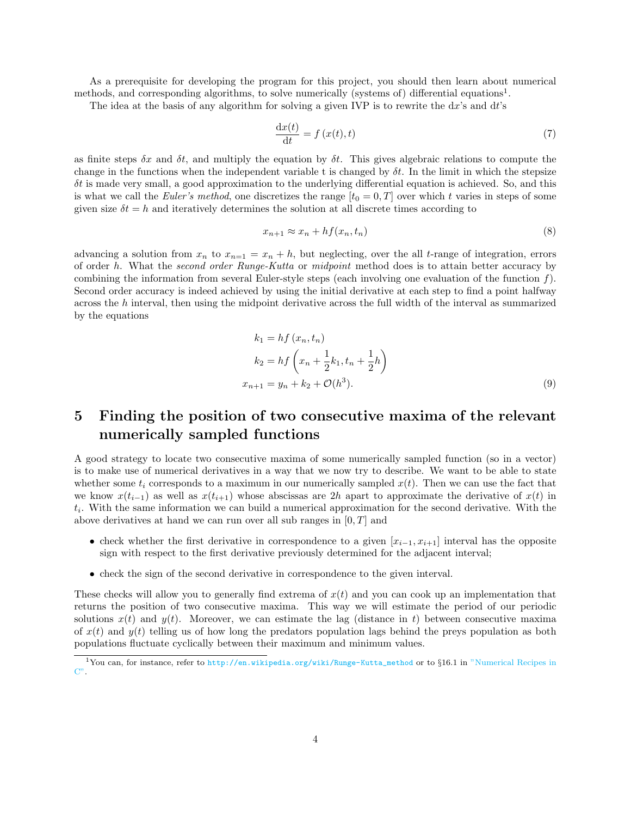As a prerequisite for developing the program for this project, you should then learn about numerical methods, and corresponding algorithms, to solve numerically (systems of) differential equations<sup>[1](#page-3-0)</sup>.

The idea at the basis of any algorithm for solving a given IVP is to rewrite the  $dx$ 's and  $dt$ 's

$$
\frac{\mathrm{d}x(t)}{\mathrm{d}t} = f\left(x(t), t\right) \tag{7}
$$

as finite steps  $\delta x$  and  $\delta t$ , and multiply the equation by  $\delta t$ . This gives algebraic relations to compute the change in the functions when the independent variable t is changed by  $\delta t$ . In the limit in which the stepsize  $\delta t$  is made very small, a good approximation to the underlying differential equation is achieved. So, and this is what we call the Euler's method, one discretizes the range  $[t_0 = 0, T]$  over which t varies in steps of some given size  $\delta t = h$  and iteratively determines the solution at all discrete times according to

$$
x_{n+1} \approx x_n + h f(x_n, t_n) \tag{8}
$$

advancing a solution from  $x_n$  to  $x_{n=1} = x_n + h$ , but neglecting, over the all t-range of integration, errors of order h. What the second order Runge-Kutta or midpoint method does is to attain better accuracy by combining the information from several Euler-style steps (each involving one evaluation of the function  $f$ ). Second order accuracy is indeed achieved by using the initial derivative at each step to find a point halfway across the h interval, then using the midpoint derivative across the full width of the interval as summarized by the equations

$$
k_1 = hf(x_n, t_n)
$$
  
\n
$$
k_2 = hf\left(x_n + \frac{1}{2}k_1, t_n + \frac{1}{2}h\right)
$$
  
\n
$$
x_{n+1} = y_n + k_2 + \mathcal{O}(h^3).
$$
\n(9)

# <span id="page-3-1"></span>5 Finding the position of two consecutive maxima of the relevant numerically sampled functions

A good strategy to locate two consecutive maxima of some numerically sampled function (so in a vector) is to make use of numerical derivatives in a way that we now try to describe. We want to be able to state whether some  $t_i$  corresponds to a maximum in our numerically sampled  $x(t)$ . Then we can use the fact that we know  $x(t_{i-1})$  as well as  $x(t_{i+1})$  whose abscissas are 2h apart to approximate the derivative of  $x(t)$  in  $t_i$ . With the same information we can build a numerical approximation for the second derivative. With the above derivatives at hand we can run over all sub ranges in  $[0, T]$  and

- check whether the first derivative in correspondence to a given  $[x_{i-1}, x_{i+1}]$  interval has the opposite sign with respect to the first derivative previously determined for the adjacent interval;
- check the sign of the second derivative in correspondence to the given interval.

These checks will allow you to generally find extrema of  $x(t)$  and you can cook up an implementation that returns the position of two consecutive maxima. This way we will estimate the period of our periodic solutions  $x(t)$  and  $y(t)$ . Moreover, we can estimate the lag (distance in t) between consecutive maxima of  $x(t)$  and  $y(t)$  telling us of how long the predators population lags behind the prevs population as both populations fluctuate cyclically between their maximum and minimum values.

<span id="page-3-0"></span><sup>1</sup>You can, for instance, refer to [http://en.wikipedia.org/wiki/Runge-Kutta\\_method](http://en.wikipedia.org/wiki/Runge-Kutta_method) or to §16.1 in ["Numerical Recipes in](https://www2.units.it/ipl/students_area/imm2/files/Numerical_Recipes.pdf) [C".](https://www2.units.it/ipl/students_area/imm2/files/Numerical_Recipes.pdf)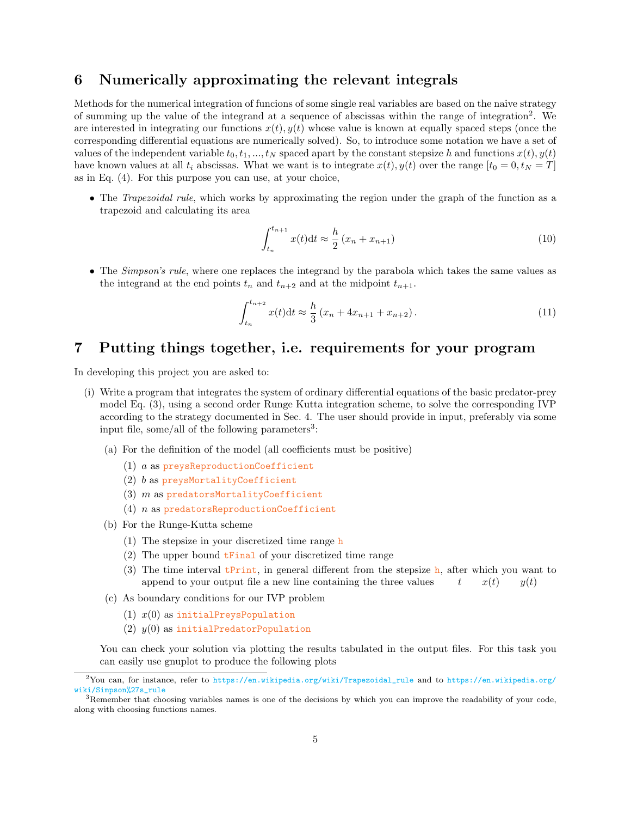# <span id="page-4-2"></span>6 Numerically approximating the relevant integrals

Methods for the numerical integration of funcions of some single real variables are based on the naive strategy of summing up the value of the integrand at a sequence of abscissas within the range of integration<sup>[2](#page-4-0)</sup>. We are interested in integrating our functions  $x(t)$ ,  $y(t)$  whose value is known at equally spaced steps (once the corresponding differential equations are numerically solved). So, to introduce some notation we have a set of values of the independent variable  $t_0, t_1, ..., t_N$  spaced apart by the constant stepsize h and functions  $x(t), y(t)$ have known values at all  $t_i$  abscissas. What we want is to integrate  $x(t), y(t)$  over the range  $[t_0 = 0, t_N = T]$ as in Eq. [\(4\)](#page-2-0). For this purpose you can use, at your choice,

• The Trapezoidal rule, which works by approximating the region under the graph of the function as a trapezoid and calculating its area

$$
\int_{t_n}^{t_{n+1}} x(t)dt \approx \frac{h}{2} (x_n + x_{n+1})
$$
\n(10)

• The *Simpson's rule*, where one replaces the integrand by the parabola which takes the same values as the integrand at the end points  $t_n$  and  $t_{n+2}$  and at the midpoint  $t_{n+1}$ .

$$
\int_{t_n}^{t_{n+2}} x(t)dt \approx \frac{h}{3} (x_n + 4x_{n+1} + x_{n+2}). \tag{11}
$$

### 7 Putting things together, i.e. requirements for your program

In developing this project you are asked to:

- (i) Write a program that integrates the system of ordinary differential equations of the basic predator-prey model Eq. [\(3\)](#page-1-0), using a second order Runge Kutta integration scheme, to solve the corresponding IVP according to the strategy documented in Sec. [4.](#page-2-1) The user should provide in input, preferably via some input file, some/all of the following parameters<sup>[3](#page-4-1)</sup>:
	- (a) For the definition of the model (all coefficients must be positive)
		- (1) a as preysReproductionCoefficient
		- (2) b as preysMortalityCoefficient
		- (3)  $m$  as predatorsMortalityCoefficient
		- (4) n as predatorsReproductionCoefficient
	- (b) For the Runge-Kutta scheme
		- (1) The stepsize in your discretized time range h
		- (2) The upper bound tFinal of your discretized time range
		- (3) The time interval  $t$ Print, in general different from the stepsize h, after which you want to append to your output file a new line containing the three values  $t = x(t) = y(t)$
	- (c) As boundary conditions for our IVP problem
		- (1)  $x(0)$  as initialPreysPopulation
		- (2)  $y(0)$  as initialPredatorPopulation

You can check your solution via plotting the results tabulated in the output files. For this task you can easily use gnuplot to produce the following plots

<span id="page-4-0"></span><sup>2</sup>You can, for instance, refer to [https://en.wikipedia.org/wiki/Trapezoidal\\_rule](https://en.wikipedia.org/wiki/Trapezoidal_rule) and to [https://en.wikipedia.org/](https://en.wikipedia.org/wiki/Simpson%27s_rule) [wiki/Simpson%27s\\_rule](https://en.wikipedia.org/wiki/Simpson%27s_rule)

<span id="page-4-1"></span><sup>&</sup>lt;sup>3</sup>Remember that choosing variables names is one of the decisions by which you can improve the readability of your code, along with choosing functions names.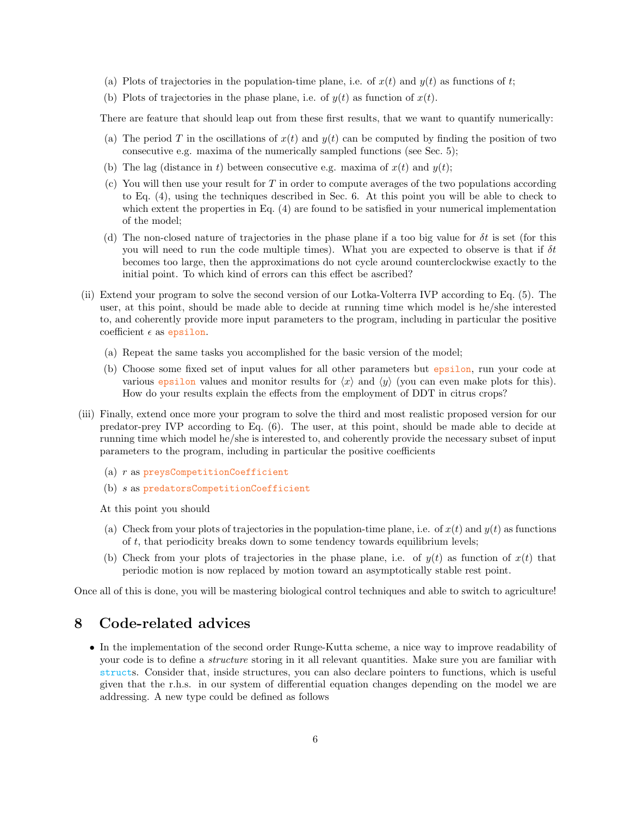- (a) Plots of trajectories in the population-time plane, i.e. of  $x(t)$  and  $y(t)$  as functions of t;
- (b) Plots of trajectories in the phase plane, i.e. of  $y(t)$  as function of  $x(t)$ .

There are feature that should leap out from these first results, that we want to quantify numerically:

- (a) The period T in the oscillations of  $x(t)$  and  $y(t)$  can be computed by finding the position of two consecutive e.g. maxima of the numerically sampled functions (see Sec. [5\)](#page-3-1);
- (b) The lag (distance in t) between consecutive e.g. maxima of  $x(t)$  and  $y(t)$ ;
- (c) You will then use your result for  $T$  in order to compute averages of the two populations according to Eq. [\(4\)](#page-2-0), using the techniques described in Sec. [6.](#page-4-2) At this point you will be able to check to which extent the properties in Eq. [\(4\)](#page-2-0) are found to be satisfied in your numerical implementation of the model;
- (d) The non-closed nature of trajectories in the phase plane if a too big value for  $\delta t$  is set (for this you will need to run the code multiple times). What you are expected to observe is that if  $\delta t$ becomes too large, then the approximations do not cycle around counterclockwise exactly to the initial point. To which kind of errors can this effect be ascribed?
- (ii) Extend your program to solve the second version of our Lotka-Volterra IVP according to Eq. [\(5\)](#page-2-2). The user, at this point, should be made able to decide at running time which model is he/she interested to, and coherently provide more input parameters to the program, including in particular the positive coefficient  $\epsilon$  as epsilon.
	- (a) Repeat the same tasks you accomplished for the basic version of the model;
	- (b) Choose some fixed set of input values for all other parameters but epsilon, run your code at various epsilon values and monitor results for  $\langle x \rangle$  and  $\langle y \rangle$  (you can even make plots for this). How do your results explain the effects from the employment of DDT in citrus crops?
- (iii) Finally, extend once more your program to solve the third and most realistic proposed version for our predator-prey IVP according to Eq. [\(6\)](#page-2-3). The user, at this point, should be made able to decide at running time which model he/she is interested to, and coherently provide the necessary subset of input parameters to the program, including in particular the positive coefficients
	- (a)  $r$  as preysCompetitionCoefficient
	- (b) s as predatorsCompetitionCoefficient

At this point you should

- (a) Check from your plots of trajectories in the population-time plane, i.e. of  $x(t)$  and  $y(t)$  as functions of t, that periodicity breaks down to some tendency towards equilibrium levels;
- (b) Check from your plots of trajectories in the phase plane, i.e. of  $y(t)$  as function of  $x(t)$  that periodic motion is now replaced by motion toward an asymptotically stable rest point.

Once all of this is done, you will be mastering biological control techniques and able to switch to agriculture!

#### 8 Code-related advices

• In the implementation of the second order Runge-Kutta scheme, a nice way to improve readability of your code is to define a structure storing in it all relevant quantities. Make sure you are familiar with structs. Consider that, inside structures, you can also declare pointers to functions, which is useful given that the r.h.s. in our system of differential equation changes depending on the model we are addressing. A new type could be defined as follows